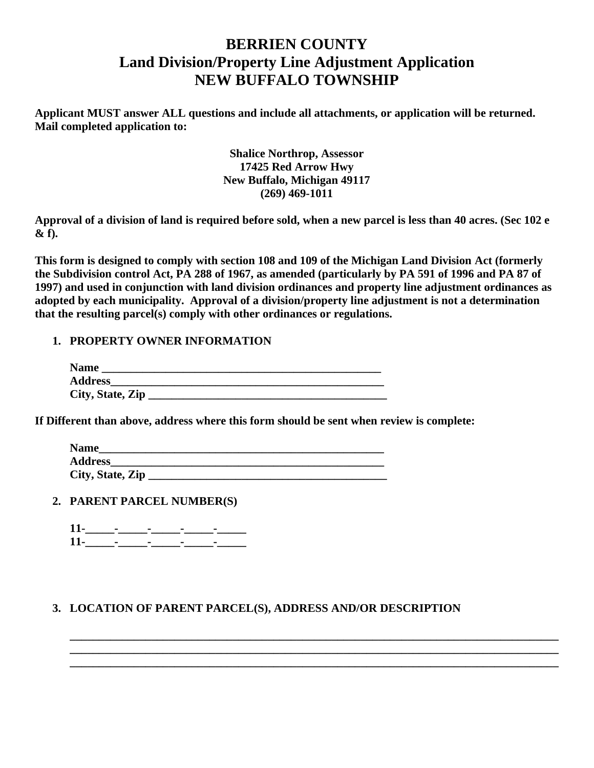# **BERRIEN COUNTY Land Division/Property Line Adjustment Application NEW BUFFALO TOWNSHIP**

**Applicant MUST answer ALL questions and include all attachments, or application will be returned. Mail completed application to:**

> **Shalice Northrop, Assessor 17425 Red Arrow Hwy New Buffalo, Michigan 49117 (269) 469-1011**

**Approval of a division of land is required before sold, when a new parcel is less than 40 acres. (Sec 102 e & f).**

**This form is designed to comply with section 108 and 109 of the Michigan Land Division Act (formerly the Subdivision control Act, PA 288 of 1967, as amended (particularly by PA 591 of 1996 and PA 87 of 1997) and used in conjunction with land division ordinances and property line adjustment ordinances as adopted by each municipality. Approval of a division/property line adjustment is not a determination that the resulting parcel(s) comply with other ordinances or regulations.**

# **1. PROPERTY OWNER INFORMATION**

| <b>Name</b>      |  |
|------------------|--|
| <b>Address</b>   |  |
| City, State, Zip |  |

**If Different than above, address where this form should be sent when review is complete:**

| <b>Name</b>      |  |
|------------------|--|
| <b>Address</b>   |  |
| City, State, Zip |  |

**2. PARENT PARCEL NUMBER(S)**

# **3. LOCATION OF PARENT PARCEL(S), ADDRESS AND/OR DESCRIPTION**

**\_\_\_\_\_\_\_\_\_\_\_\_\_\_\_\_\_\_\_\_\_\_\_\_\_\_\_\_\_\_\_\_\_\_\_\_\_\_\_\_\_\_\_\_\_\_\_\_\_\_\_\_\_\_\_\_\_\_\_\_\_\_\_\_\_\_\_\_\_\_\_\_\_\_\_\_\_\_\_\_\_\_\_\_ \_\_\_\_\_\_\_\_\_\_\_\_\_\_\_\_\_\_\_\_\_\_\_\_\_\_\_\_\_\_\_\_\_\_\_\_\_\_\_\_\_\_\_\_\_\_\_\_\_\_\_\_\_\_\_\_\_\_\_\_\_\_\_\_\_\_\_\_\_\_\_\_\_\_\_\_\_\_\_\_\_\_\_\_ \_\_\_\_\_\_\_\_\_\_\_\_\_\_\_\_\_\_\_\_\_\_\_\_\_\_\_\_\_\_\_\_\_\_\_\_\_\_\_\_\_\_\_\_\_\_\_\_\_\_\_\_\_\_\_\_\_\_\_\_\_\_\_\_\_\_\_\_\_\_\_\_\_\_\_\_\_\_\_\_\_\_\_\_**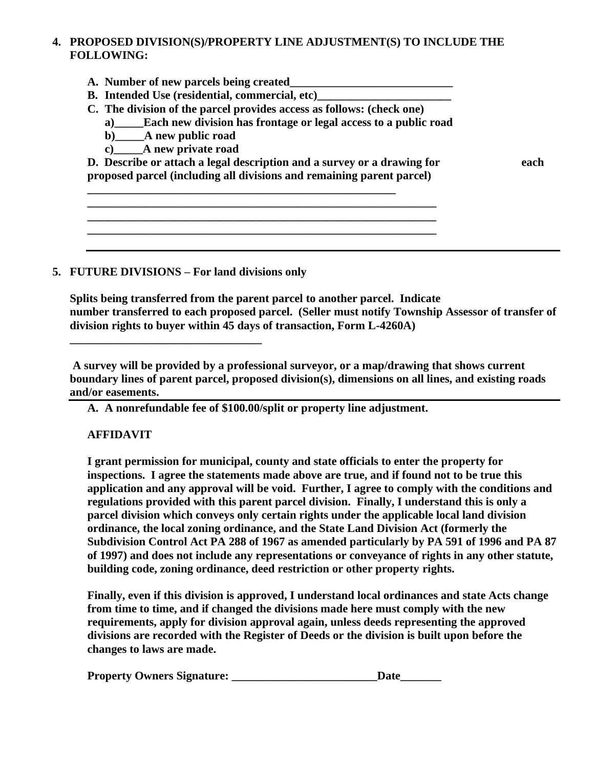### **4. PROPOSED DIVISION(S)/PROPERTY LINE ADJUSTMENT(S) TO INCLUDE THE FOLLOWING:**

- **A. Number of new parcels being created\_\_\_\_\_\_\_\_\_\_\_\_\_\_\_\_\_\_\_\_\_\_\_\_\_\_\_\_**
- **B. Intended Use (residential, commercial, etc)\_\_\_\_\_\_\_\_\_\_\_\_\_\_\_\_\_\_\_\_\_\_\_**
- **C. The division of the parcel provides access as follows: (check one)**
	- **a)\_\_\_\_\_Each new division has frontage or legal access to a public road**
	- **b)\_\_\_\_\_A new public road**
	- **c)\_\_\_\_\_A new private road**

**D. Describe or attach a legal description and a survey or a drawing for each proposed parcel (including all divisions and remaining parent parcel)** 

**\_\_\_\_\_\_\_\_\_\_\_\_\_\_\_\_\_\_\_\_\_\_\_\_\_\_\_\_\_\_\_\_\_\_\_\_\_\_\_\_\_\_\_\_\_\_\_\_\_\_\_\_\_\_\_\_\_\_\_\_ \_\_\_\_\_\_\_\_\_\_\_\_\_\_\_\_\_\_\_\_\_\_\_\_\_\_\_\_\_\_\_\_\_\_\_\_\_\_\_\_\_\_\_\_\_\_\_\_\_\_\_\_\_\_\_\_\_\_\_\_ \_\_\_\_\_\_\_\_\_\_\_\_\_\_\_\_\_\_\_\_\_\_\_\_\_\_\_\_\_\_\_\_\_\_\_\_\_\_\_\_\_\_\_\_\_\_\_\_\_\_\_\_\_\_\_\_\_\_\_\_**

**\_\_\_\_\_\_\_\_\_\_\_\_\_\_\_\_\_\_\_\_\_\_\_\_\_\_\_\_\_\_\_\_\_\_\_\_\_\_\_\_\_\_\_\_\_\_\_\_\_\_\_\_\_**

#### **5. FUTURE DIVISIONS – For land divisions only**

**\_\_\_\_\_\_\_\_\_\_\_\_\_\_\_\_\_\_\_\_\_\_\_\_\_\_\_\_\_\_\_\_\_**

**Splits being transferred from the parent parcel to another parcel. Indicate number transferred to each proposed parcel. (Seller must notify Township Assessor of transfer of division rights to buyer within 45 days of transaction, Form L-4260A)** 

**A survey will be provided by a professional surveyor, or a map/drawing that shows current boundary lines of parent parcel, proposed division(s), dimensions on all lines, and existing roads and/or easements.**

**A. A nonrefundable fee of \$100.00/split or property line adjustment.**

#### **AFFIDAVIT**

**I grant permission for municipal, county and state officials to enter the property for inspections. I agree the statements made above are true, and if found not to be true this application and any approval will be void. Further, I agree to comply with the conditions and regulations provided with this parent parcel division. Finally, I understand this is only a parcel division which conveys only certain rights under the applicable local land division ordinance, the local zoning ordinance, and the State Land Division Act (formerly the Subdivision Control Act PA 288 of 1967 as amended particularly by PA 591 of 1996 and PA 87 of 1997) and does not include any representations or conveyance of rights in any other statute, building code, zoning ordinance, deed restriction or other property rights.** 

**Finally, even if this division is approved, I understand local ordinances and state Acts change from time to time, and if changed the divisions made here must comply with the new requirements, apply for division approval again, unless deeds representing the approved divisions are recorded with the Register of Deeds or the division is built upon before the changes to laws are made.**

| <b>Property Owners Signature:</b> | Date |
|-----------------------------------|------|
|                                   |      |